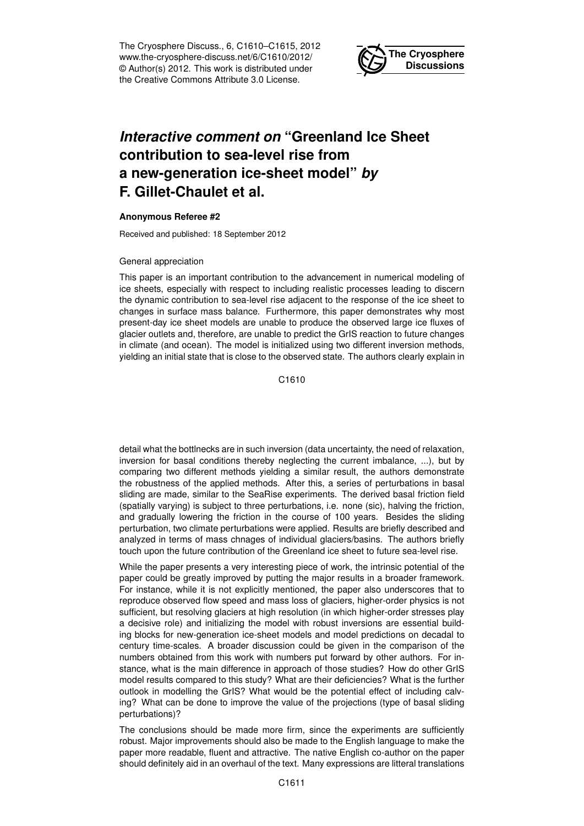The Cryosphere Discuss., 6, C1610–C1615, 2012 www.the-cryosphere-discuss.net/6/C1610/2012/ © Author(s) 2012. This work is distributed under the Creative Commons Attribute 3.0 License.



## *Interactive comment on* **"Greenland Ice Sheet contribution to sea-level rise from a new-generation ice-sheet model"** *by* **F. Gillet-Chaulet et al.**

## **Anonymous Referee #2**

Received and published: 18 September 2012

## General appreciation

This paper is an important contribution to the advancement in numerical modeling of ice sheets, especially with respect to including realistic processes leading to discern the dynamic contribution to sea-level rise adjacent to the response of the ice sheet to changes in surface mass balance. Furthermore, this paper demonstrates why most present-day ice sheet models are unable to produce the observed large ice fluxes of glacier outlets and, therefore, are unable to predict the GrIS reaction to future changes in climate (and ocean). The model is initialized using two different inversion methods, yielding an initial state that is close to the observed state. The authors clearly explain in

C1610

detail what the bottlnecks are in such inversion (data uncertainty, the need of relaxation, inversion for basal conditions thereby neglecting the current imbalance, ...), but by comparing two different methods yielding a similar result, the authors demonstrate the robustness of the applied methods. After this, a series of perturbations in basal sliding are made, similar to the SeaRise experiments. The derived basal friction field (spatially varying) is subject to three perturbations, i.e. none (sic), halving the friction, and gradually lowering the friction in the course of 100 years. Besides the sliding perturbation, two climate perturbations were applied. Results are briefly described and analyzed in terms of mass chnages of individual glaciers/basins. The authors briefly touch upon the future contribution of the Greenland ice sheet to future sea-level rise.

While the paper presents a very interesting piece of work, the intrinsic potential of the paper could be greatly improved by putting the major results in a broader framework. For instance, while it is not explicitly mentioned, the paper also underscores that to reproduce observed flow speed and mass loss of glaciers, higher-order physics is not sufficient, but resolving glaciers at high resolution (in which higher-order stresses play a decisive role) and initializing the model with robust inversions are essential building blocks for new-generation ice-sheet models and model predictions on decadal to century time-scales. A broader discussion could be given in the comparison of the numbers obtained from this work with numbers put forward by other authors. For instance, what is the main difference in approach of those studies? How do other GrIS model results compared to this study? What are their deficiencies? What is the further outlook in modelling the GrIS? What would be the potential effect of including calving? What can be done to improve the value of the projections (type of basal sliding perturbations)?

The conclusions should be made more firm, since the experiments are sufficiently robust. Major improvements should also be made to the English language to make the paper more readable, fluent and attractive. The native English co-author on the paper should definitely aid in an overhaul of the text. Many expressions are litteral translations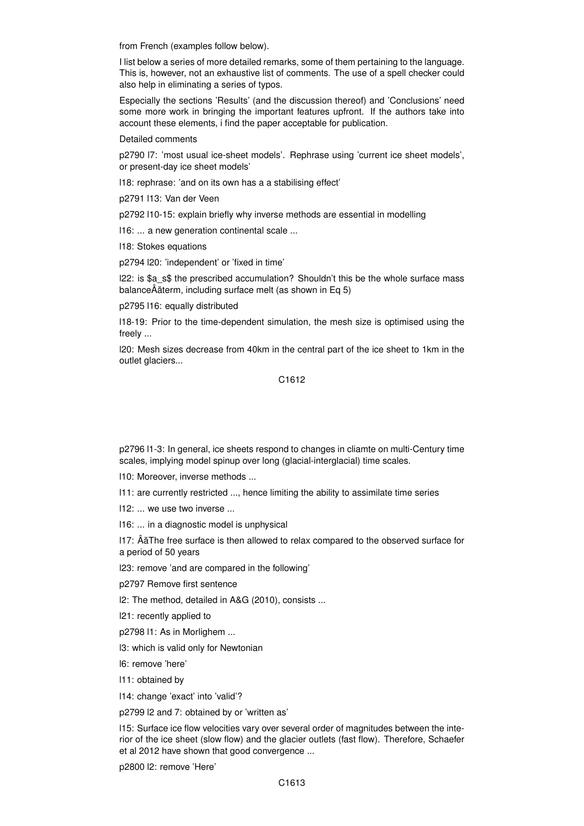from French (examples follow below).

I list below a series of more detailed remarks, some of them pertaining to the language. This is, however, not an exhaustive list of comments. The use of a spell checker could also help in eliminating a series of typos.

Especially the sections 'Results' (and the discussion thereof) and 'Conclusions' need some more work in bringing the important features upfront. If the authors take into account these elements, i find the paper acceptable for publication.

Detailed comments

p2790 l7: 'most usual ice-sheet models'. Rephrase using 'current ice sheet models', or present-day ice sheet models'

l18: rephrase: 'and on its own has a a stabilising effect'

p2791 l13: Van der Veen

p2792 l10-15: explain briefly why inverse methods are essential in modelling

l16: ... a new generation continental scale ...

l18: Stokes equations

p2794 l20: 'independent' or 'fixed in time'

l22: is \$a\_s\$ the prescribed accumulation? Shouldn't this be the whole surface mass balanceÂăterm, including surface melt (as shown in Eq 5)

p2795 l16: equally distributed

l18-19: Prior to the time-dependent simulation, the mesh size is optimised using the freely ...

l20: Mesh sizes decrease from 40km in the central part of the ice sheet to 1km in the outlet glaciers...

C1612

p2796 l1-3: In general, ice sheets respond to changes in cliamte on multi-Century time scales, implying model spinup over long (glacial-interglacial) time scales.

l10: Moreover, inverse methods ...

l11: are currently restricted ..., hence limiting the ability to assimilate time series

l12: ... we use two inverse ...

l16: ... in a diagnostic model is unphysical

l17: ÂaThe free surface is then allowed to relax compared to the observed surface for ˘ a period of 50 years

l23: remove 'and are compared in the following'

p2797 Remove first sentence

l2: The method, detailed in A&G (2010), consists ...

l21: recently applied to

p2798 l1: As in Morlighem ...

l3: which is valid only for Newtonian

l6: remove 'here'

l11: obtained by

l14: change 'exact' into 'valid'?

p2799 l2 and 7: obtained by or 'written as'

l15: Surface ice flow velocities vary over several order of magnitudes between the interior of the ice sheet (slow flow) and the glacier outlets (fast flow). Therefore, Schaefer et al 2012 have shown that good convergence ...

p2800 l2: remove 'Here'